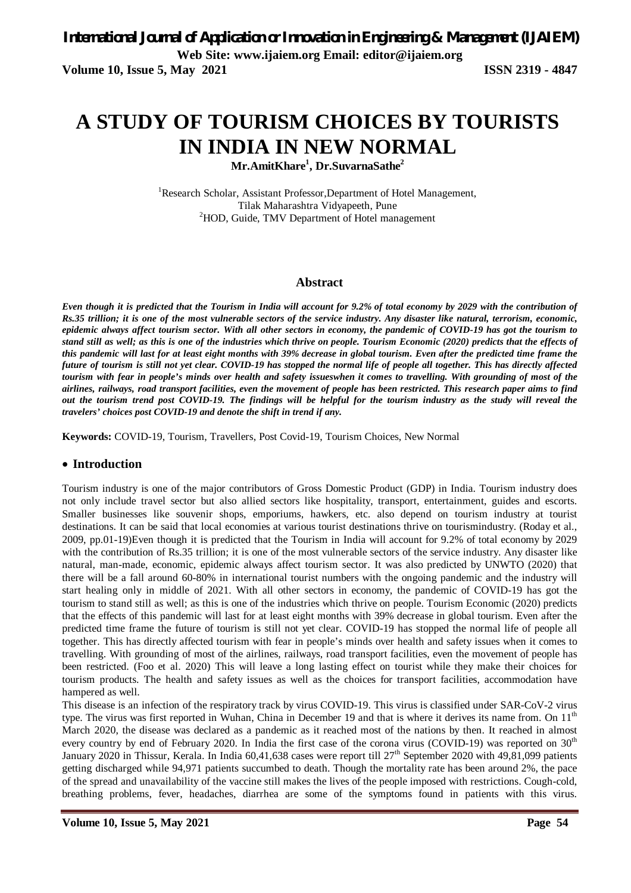# **A STUDY OF TOURISM CHOICES BY TOURISTS IN INDIA IN NEW NORMAL**

**Mr.AmitKhare<sup>1</sup> , Dr.SuvarnaSathe<sup>2</sup>**

<sup>1</sup>Research Scholar, Assistant Professor, Department of Hotel Management, Tilak Maharashtra Vidyapeeth, Pune <sup>2</sup>HOD, Guide, TMV Department of Hotel management

## **Abstract**

*Even though it is predicted that the Tourism in India will account for 9.2% of total economy by 2029 with the contribution of Rs.35 trillion; it is one of the most vulnerable sectors of the service industry. Any disaster like natural, terrorism, economic, epidemic always affect tourism sector. With all other sectors in economy, the pandemic of COVID-19 has got the tourism to stand still as well; as this is one of the industries which thrive on people. Tourism Economic (2020) predicts that the effects of this pandemic will last for at least eight months with 39% decrease in global tourism. Even after the predicted time frame the future of tourism is still not yet clear. COVID-19 has stopped the normal life of people all together. This has directly affected tourism with fear in people's minds over health and safety issueswhen it comes to travelling. With grounding of most of the airlines, railways, road transport facilities, even the movement of people has been restricted. This research paper aims to find out the tourism trend post COVID-19. The findings will be helpful for the tourism industry as the study will reveal the travelers' choices post COVID-19 and denote the shift in trend if any.*

**Keywords:** COVID-19, Tourism, Travellers, Post Covid-19, Tourism Choices, New Normal

## **Introduction**

Tourism industry is one of the major contributors of Gross Domestic Product (GDP) in India. Tourism industry does not only include travel sector but also allied sectors like hospitality, transport, entertainment, guides and escorts. Smaller businesses like souvenir shops, emporiums, hawkers, etc. also depend on tourism industry at tourist destinations. It can be said that local economies at various tourist destinations thrive on tourismindustry. (Roday et al., 2009, pp.01-19)Even though it is predicted that the Tourism in India will account for 9.2% of total economy by 2029 with the contribution of Rs.35 trillion; it is one of the most vulnerable sectors of the service industry. Any disaster like natural, man-made, economic, epidemic always affect tourism sector. It was also predicted by UNWTO (2020) that there will be a fall around 60-80% in international tourist numbers with the ongoing pandemic and the industry will start healing only in middle of 2021. With all other sectors in economy, the pandemic of COVID-19 has got the tourism to stand still as well; as this is one of the industries which thrive on people. Tourism Economic (2020) predicts that the effects of this pandemic will last for at least eight months with 39% decrease in global tourism. Even after the predicted time frame the future of tourism is still not yet clear. COVID-19 has stopped the normal life of people all together. This has directly affected tourism with fear in people's minds over health and safety issues when it comes to travelling. With grounding of most of the airlines, railways, road transport facilities, even the movement of people has been restricted. (Foo et al. 2020) This will leave a long lasting effect on tourist while they make their choices for tourism products. The health and safety issues as well as the choices for transport facilities, accommodation have hampered as well.

This disease is an infection of the respiratory track by virus COVID-19. This virus is classified under SAR-CoV-2 virus type. The virus was first reported in Wuhan, China in December 19 and that is where it derives its name from. On  $11<sup>th</sup>$ March 2020, the disease was declared as a pandemic as it reached most of the nations by then. It reached in almost every country by end of February 2020. In India the first case of the corona virus (COVID-19) was reported on  $30<sup>th</sup>$ January 2020 in Thissur, Kerala. In India  $60,41,638$  cases were report till  $27<sup>th</sup>$  September 2020 with 49,81,099 patients getting discharged while 94,971 patients succumbed to death. Though the mortality rate has been around 2%, the pace of the spread and unavailability of the vaccine still makes the lives of the people imposed with restrictions. Cough-cold, breathing problems, fever, headaches, diarrhea are some of the symptoms found in patients with this virus.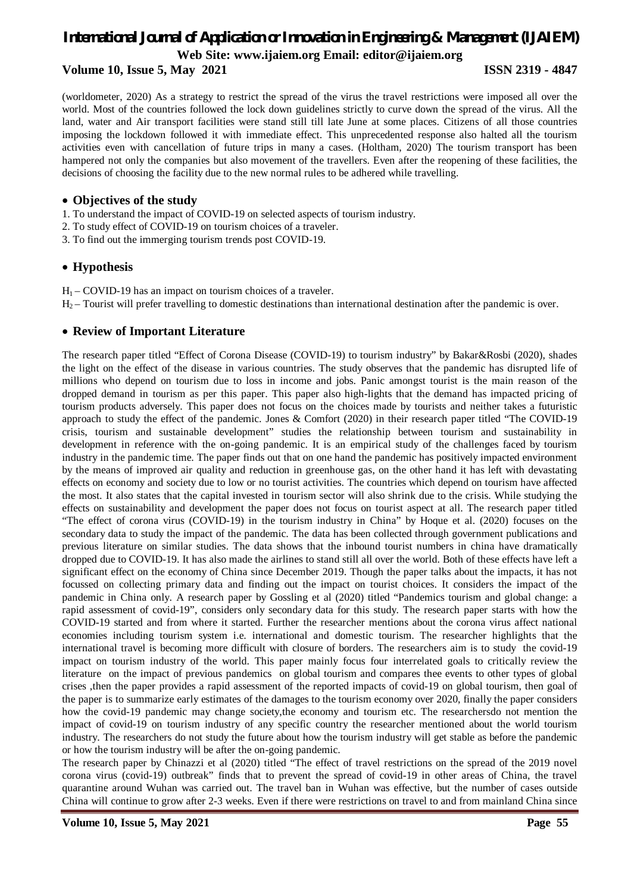## **Volume 10, Issue 5, May 2021 ISSN 2319 - 4847**

(worldometer, 2020) As a strategy to restrict the spread of the virus the travel restrictions were imposed all over the world. Most of the countries followed the lock down guidelines strictly to curve down the spread of the virus. All the land, water and Air transport facilities were stand still till late June at some places. Citizens of all those countries imposing the lockdown followed it with immediate effect. This unprecedented response also halted all the tourism activities even with cancellation of future trips in many a cases. (Holtham, 2020) The tourism transport has been hampered not only the companies but also movement of the travellers. Even after the reopening of these facilities, the decisions of choosing the facility due to the new normal rules to be adhered while travelling.

## **Objectives of the study**

- 1. To understand the impact of COVID-19 on selected aspects of tourism industry.
- 2. To study effect of COVID-19 on tourism choices of a traveler.
- 3. To find out the immerging tourism trends post COVID-19.

## **Hypothesis**

 $H_1$  – COVID-19 has an impact on tourism choices of a traveler.  $H_2$  – Tourist will prefer travelling to domestic destinations than international destination after the pandemic is over.

## **Review of Important Literature**

The research paper titled "Effect of Corona Disease (COVID-19) to tourism industry" by Bakar&Rosbi (2020), shades the light on the effect of the disease in various countries. The study observes that the pandemic has disrupted life of millions who depend on tourism due to loss in income and jobs. Panic amongst tourist is the main reason of the dropped demand in tourism as per this paper. This paper also high-lights that the demand has impacted pricing of tourism products adversely. This paper does not focus on the choices made by tourists and neither takes a futuristic approach to study the effect of the pandemic. Jones & Comfort (2020) in their research paper titled "The COVID-19 crisis, tourism and sustainable development" studies the relationship between tourism and sustainability in development in reference with the on-going pandemic. It is an empirical study of the challenges faced by tourism industry in the pandemic time. The paper finds out that on one hand the pandemic has positively impacted environment by the means of improved air quality and reduction in greenhouse gas, on the other hand it has left with devastating effects on economy and society due to low or no tourist activities. The countries which depend on tourism have affected the most. It also states that the capital invested in tourism sector will also shrink due to the crisis. While studying the effects on sustainability and development the paper does not focus on tourist aspect at all. The research paper titled "The effect of corona virus (COVID-19) in the tourism industry in China" by Hoque et al. (2020) focuses on the secondary data to study the impact of the pandemic. The data has been collected through government publications and previous literature on similar studies. The data shows that the inbound tourist numbers in china have dramatically dropped due to COVID-19. It has also made the airlines to stand still all over the world. Both of these effects have left a significant effect on the economy of China since December 2019. Though the paper talks about the impacts, it has not focussed on collecting primary data and finding out the impact on tourist choices. It considers the impact of the pandemic in China only. A research paper by Gossling et al (2020) titled "Pandemics tourism and global change: a rapid assessment of covid-19", considers only secondary data for this study. The research paper starts with how the COVID-19 started and from where it started. Further the researcher mentions about the corona virus affect national economies including tourism system i.e. international and domestic tourism. The researcher highlights that the international travel is becoming more difficult with closure of borders. The researchers aim is to study the covid-19 impact on tourism industry of the world. This paper mainly focus four interrelated goals to critically review the literature on the impact of previous pandemics on global tourism and compares thee events to other types of global crises ,then the paper provides a rapid assessment of the reported impacts of covid-19 on global tourism, then goal of the paper is to summarize early estimates of the damages to the tourism economy over 2020, finally the paper considers how the covid-19 pandemic may change society, the economy and tourism etc. The researchersdo not mention the impact of covid-19 on tourism industry of any specific country the researcher mentioned about the world tourism industry. The researchers do not study the future about how the tourism industry will get stable as before the pandemic or how the tourism industry will be after the on-going pandemic.

The research paper by Chinazzi et al (2020) titled "The effect of travel restrictions on the spread of the 2019 novel corona virus (covid-19) outbreak" finds that to prevent the spread of covid-19 in other areas of China, the travel quarantine around Wuhan was carried out. The travel ban in Wuhan was effective, but the number of cases outside China will continue to grow after 2-3 weeks. Even if there were restrictions on travel to and from mainland China since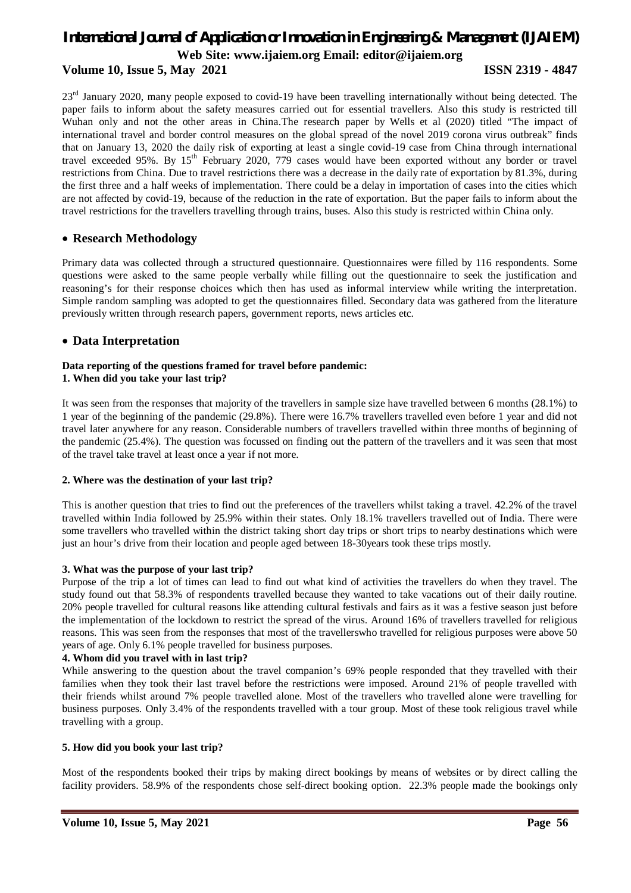## **Volume 10, Issue 5, May 2021 ISSN 2319 - 4847**

23<sup>rd</sup> January 2020, many people exposed to covid-19 have been travelling internationally without being detected. The paper fails to inform about the safety measures carried out for essential travellers. Also this study is restricted till Wuhan only and not the other areas in China.The research paper by Wells et al (2020) titled "The impact of international travel and border control measures on the global spread of the novel 2019 corona virus outbreak" finds that on January 13, 2020 the daily risk of exporting at least a single covid-19 case from China through international travel exceeded 95%. By 15<sup>th</sup> February 2020, 779 cases would have been exported without any border or travel restrictions from China. Due to travel restrictions there was a decrease in the daily rate of exportation by 81.3%, during the first three and a half weeks of implementation. There could be a delay in importation of cases into the cities which are not affected by covid-19, because of the reduction in the rate of exportation. But the paper fails to inform about the travel restrictions for the travellers travelling through trains, buses. Also this study is restricted within China only.

## **Research Methodology**

Primary data was collected through a structured questionnaire. Questionnaires were filled by 116 respondents. Some questions were asked to the same people verbally while filling out the questionnaire to seek the justification and reasoning's for their response choices which then has used as informal interview while writing the interpretation. Simple random sampling was adopted to get the questionnaires filled. Secondary data was gathered from the literature previously written through research papers, government reports, news articles etc.

## **Data Interpretation**

### **Data reporting of the questions framed for travel before pandemic: 1. When did you take your last trip?**

It was seen from the responses that majority of the travellers in sample size have travelled between 6 months (28.1%) to 1 year of the beginning of the pandemic (29.8%). There were 16.7% travellers travelled even before 1 year and did not travel later anywhere for any reason. Considerable numbers of travellers travelled within three months of beginning of the pandemic (25.4%). The question was focussed on finding out the pattern of the travellers and it was seen that most of the travel take travel at least once a year if not more.

## **2. Where was the destination of your last trip?**

This is another question that tries to find out the preferences of the travellers whilst taking a travel. 42.2% of the travel travelled within India followed by 25.9% within their states. Only 18.1% travellers travelled out of India. There were some travellers who travelled within the district taking short day trips or short trips to nearby destinations which were just an hour's drive from their location and people aged between 18-30years took these trips mostly.

### **3. What was the purpose of your last trip?**

Purpose of the trip a lot of times can lead to find out what kind of activities the travellers do when they travel. The study found out that 58.3% of respondents travelled because they wanted to take vacations out of their daily routine. 20% people travelled for cultural reasons like attending cultural festivals and fairs as it was a festive season just before the implementation of the lockdown to restrict the spread of the virus. Around 16% of travellers travelled for religious reasons. This was seen from the responses that most of the travellerswho travelled for religious purposes were above 50 years of age. Only 6.1% people travelled for business purposes.

### **4. Whom did you travel with in last trip?**

While answering to the question about the travel companion's 69% people responded that they travelled with their families when they took their last travel before the restrictions were imposed. Around 21% of people travelled with their friends whilst around 7% people travelled alone. Most of the travellers who travelled alone were travelling for business purposes. Only 3.4% of the respondents travelled with a tour group. Most of these took religious travel while travelling with a group.

## **5. How did you book your last trip?**

Most of the respondents booked their trips by making direct bookings by means of websites or by direct calling the facility providers. 58.9% of the respondents chose self-direct booking option. 22.3% people made the bookings only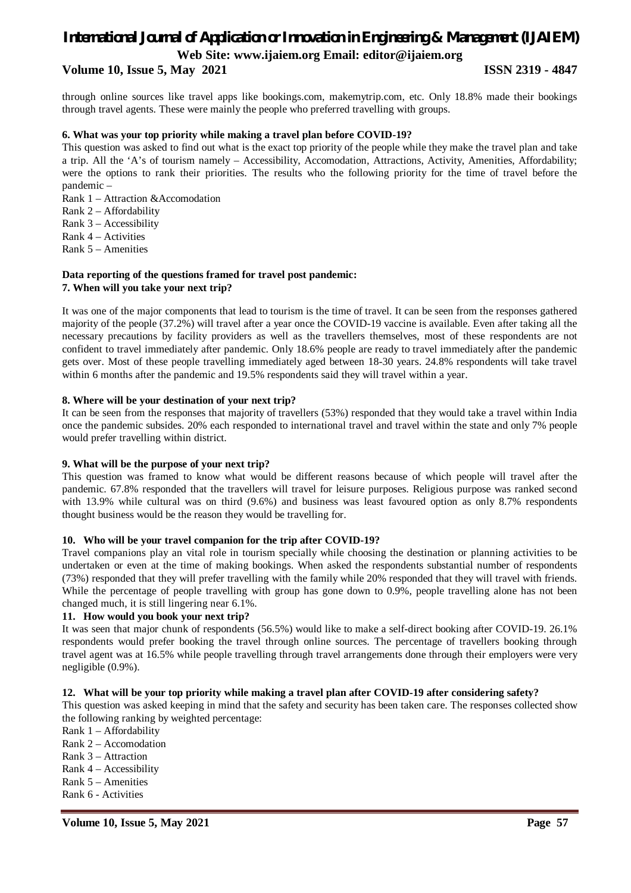## **Volume 10, Issue 5, May 2021 ISSN 2319 - 4847**

through online sources like travel apps like bookings.com, makemytrip.com, etc. Only 18.8% made their bookings through travel agents. These were mainly the people who preferred travelling with groups.

## **6. What was your top priority while making a travel plan before COVID-19?**

This question was asked to find out what is the exact top priority of the people while they make the travel plan and take a trip. All the 'A's of tourism namely – Accessibility, Accomodation, Attractions, Activity, Amenities, Affordability; were the options to rank their priorities. The results who the following priority for the time of travel before the pandemic –

Rank 1 – Attraction &Accomodation

Rank 2 – Affordability

Rank 3 – Accessibility

Rank 4 – Activities

Rank 5 – Amenities

## **Data reporting of the questions framed for travel post pandemic: 7. When will you take your next trip?**

It was one of the major components that lead to tourism is the time of travel. It can be seen from the responses gathered majority of the people (37.2%) will travel after a year once the COVID-19 vaccine is available. Even after taking all the necessary precautions by facility providers as well as the travellers themselves, most of these respondents are not confident to travel immediately after pandemic. Only 18.6% people are ready to travel immediately after the pandemic gets over. Most of these people travelling immediately aged between 18-30 years. 24.8% respondents will take travel within 6 months after the pandemic and 19.5% respondents said they will travel within a year.

## **8. Where will be your destination of your next trip?**

It can be seen from the responses that majority of travellers (53%) responded that they would take a travel within India once the pandemic subsides. 20% each responded to international travel and travel within the state and only 7% people would prefer travelling within district.

## **9. What will be the purpose of your next trip?**

This question was framed to know what would be different reasons because of which people will travel after the pandemic. 67.8% responded that the travellers will travel for leisure purposes. Religious purpose was ranked second with 13.9% while cultural was on third (9.6%) and business was least favoured option as only 8.7% respondents thought business would be the reason they would be travelling for.

## **10. Who will be your travel companion for the trip after COVID-19?**

Travel companions play an vital role in tourism specially while choosing the destination or planning activities to be undertaken or even at the time of making bookings. When asked the respondents substantial number of respondents (73%) responded that they will prefer travelling with the family while 20% responded that they will travel with friends. While the percentage of people travelling with group has gone down to 0.9%, people travelling alone has not been changed much, it is still lingering near 6.1%.

### **11. How would you book your next trip?**

It was seen that major chunk of respondents (56.5%) would like to make a self-direct booking after COVID-19. 26.1% respondents would prefer booking the travel through online sources. The percentage of travellers booking through travel agent was at 16.5% while people travelling through travel arrangements done through their employers were very negligible (0.9%).

## **12. What will be your top priority while making a travel plan after COVID-19 after considering safety?**

This question was asked keeping in mind that the safety and security has been taken care. The responses collected show the following ranking by weighted percentage:

- Rank 1 Affordability
- Rank 2 Accomodation
- Rank 3 Attraction
- Rank  $4 -$  Accessibility
- Rank 5 Amenities
- Rank 6 Activities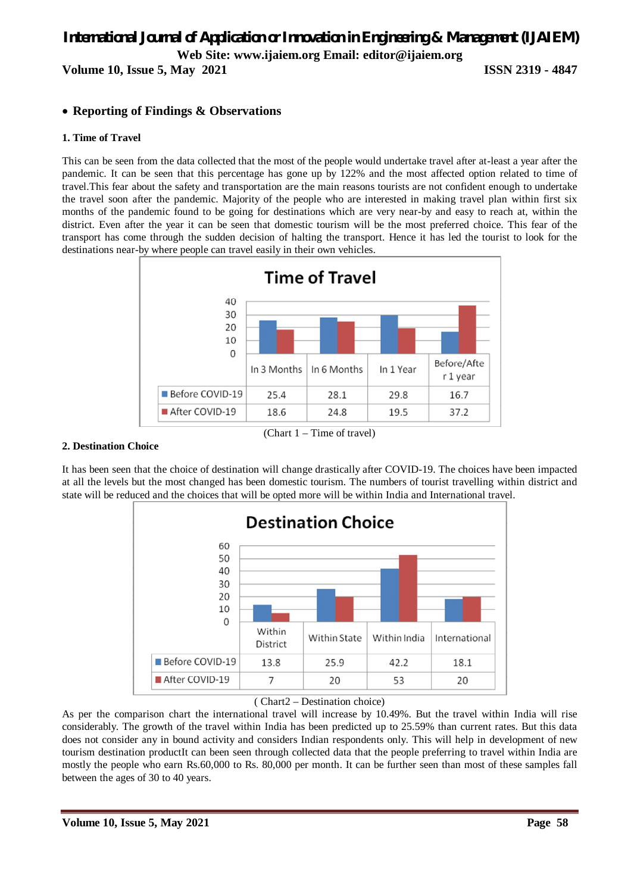**Volume 10, Issue 5, May 2021 ISSN 2319 - 4847**

## **Reporting of Findings & Observations**

## **1. Time of Travel**

This can be seen from the data collected that the most of the people would undertake travel after at-least a year after the pandemic. It can be seen that this percentage has gone up by 122% and the most affected option related to time of travel.This fear about the safety and transportation are the main reasons tourists are not confident enough to undertake the travel soon after the pandemic. Majority of the people who are interested in making travel plan within first six months of the pandemic found to be going for destinations which are very near-by and easy to reach at, within the district. Even after the year it can be seen that domestic tourism will be the most preferred choice. This fear of the transport has come through the sudden decision of halting the transport. Hence it has led the tourist to look for the destinations near-by where people can travel easily in their own vehicles.



### **2. Destination Choice**

It has been seen that the choice of destination will change drastically after COVID-19. The choices have been impacted at all the levels but the most changed has been domestic tourism. The numbers of tourist travelling within district and state will be reduced and the choices that will be opted more will be within India and International travel.



## ( Chart2 – Destination choice)

As per the comparison chart the international travel will increase by 10.49%. But the travel within India will rise considerably. The growth of the travel within India has been predicted up to 25.59% than current rates. But this data does not consider any in bound activity and considers Indian respondents only. This will help in development of new tourism destination productIt can been seen through collected data that the people preferring to travel within India are mostly the people who earn Rs.60,000 to Rs. 80,000 per month. It can be further seen than most of these samples fall between the ages of 30 to 40 years.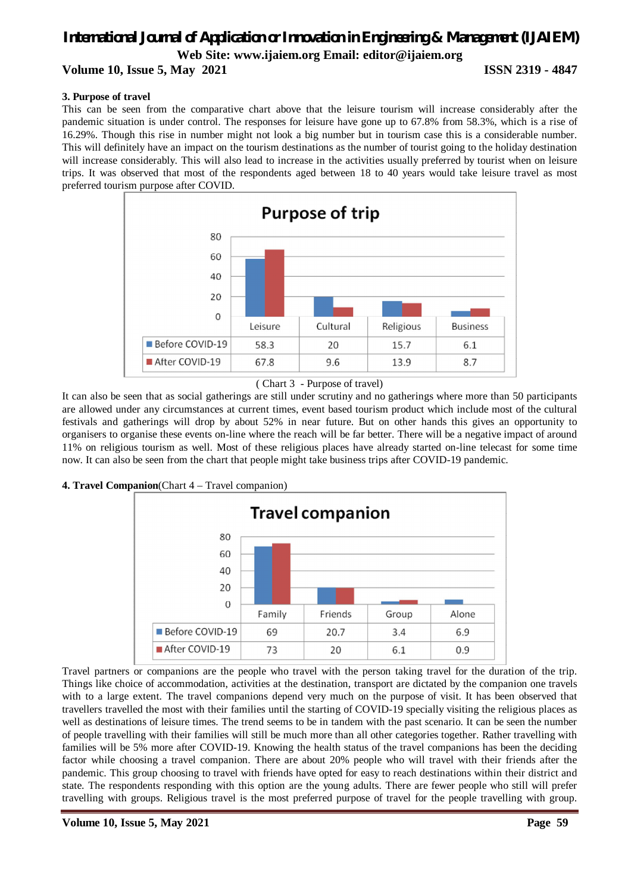**Volume 10, Issue 5, May 2021 ISSN 2319 - 4847**

## **3. Purpose of travel**

This can be seen from the comparative chart above that the leisure tourism will increase considerably after the pandemic situation is under control. The responses for leisure have gone up to 67.8% from 58.3%, which is a rise of 16.29%. Though this rise in number might not look a big number but in tourism case this is a considerable number. This will definitely have an impact on the tourism destinations as the number of tourist going to the holiday destination will increase considerably. This will also lead to increase in the activities usually preferred by tourist when on leisure trips. It was observed that most of the respondents aged between 18 to 40 years would take leisure travel as most preferred tourism purpose after COVID.



<sup>(</sup> Chart 3 - Purpose of travel)

It can also be seen that as social gatherings are still under scrutiny and no gatherings where more than 50 participants are allowed under any circumstances at current times, event based tourism product which include most of the cultural festivals and gatherings will drop by about 52% in near future. But on other hands this gives an opportunity to organisers to organise these events on-line where the reach will be far better. There will be a negative impact of around 11% on religious tourism as well. Most of these religious places have already started on-line telecast for some time now. It can also be seen from the chart that people might take business trips after COVID-19 pandemic.

## **4. Travel Companion**(Chart 4 – Travel companion)



Travel partners or companions are the people who travel with the person taking travel for the duration of the trip. Things like choice of accommodation, activities at the destination, transport are dictated by the companion one travels with to a large extent. The travel companions depend very much on the purpose of visit. It has been observed that travellers travelled the most with their families until the starting of COVID-19 specially visiting the religious places as well as destinations of leisure times. The trend seems to be in tandem with the past scenario. It can be seen the number of people travelling with their families will still be much more than all other categories together. Rather travelling with families will be 5% more after COVID-19. Knowing the health status of the travel companions has been the deciding factor while choosing a travel companion. There are about 20% people who will travel with their friends after the pandemic. This group choosing to travel with friends have opted for easy to reach destinations within their district and state. The respondents responding with this option are the young adults. There are fewer people who still will prefer travelling with groups. Religious travel is the most preferred purpose of travel for the people travelling with group.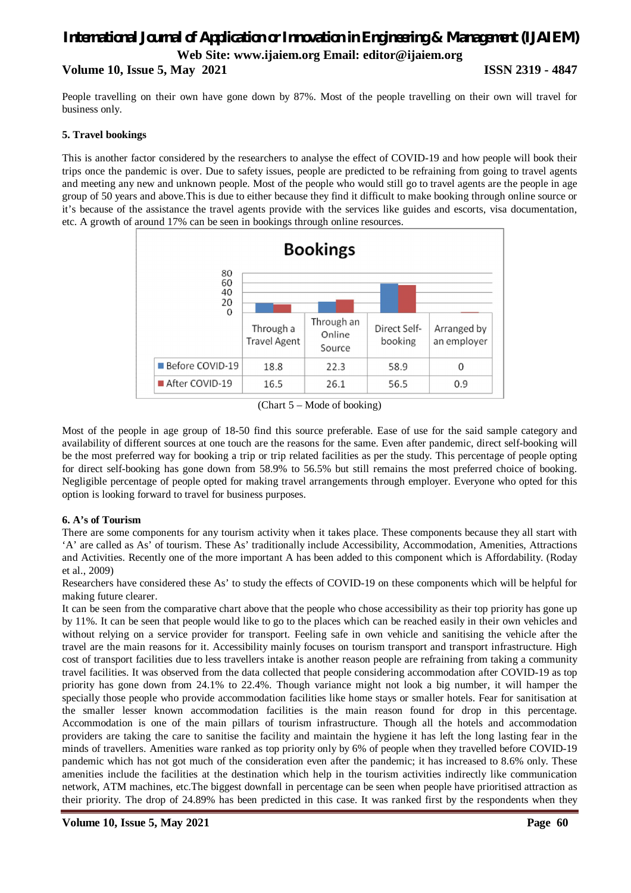## *International Journal of Application or Innovation in Engineering & Management (IJAIEM)* **Web Site: www.ijaiem.org Email: editor@ijaiem.org Volume 10, Issue 5, May 2021 ISSN 2319 - 4847**

People travelling on their own have gone down by 87%. Most of the people travelling on their own will travel for business only.

## **5. Travel bookings**

This is another factor considered by the researchers to analyse the effect of COVID-19 and how people will book their trips once the pandemic is over. Due to safety issues, people are predicted to be refraining from going to travel agents and meeting any new and unknown people. Most of the people who would still go to travel agents are the people in age group of 50 years and above.This is due to either because they find it difficult to make booking through online source or it's because of the assistance the travel agents provide with the services like guides and escorts, visa documentation, etc. A growth of around 17% can be seen in bookings through online resources.



(Chart 5 – Mode of booking)

Most of the people in age group of 18-50 find this source preferable. Ease of use for the said sample category and availability of different sources at one touch are the reasons for the same. Even after pandemic, direct self-booking will be the most preferred way for booking a trip or trip related facilities as per the study. This percentage of people opting for direct self-booking has gone down from 58.9% to 56.5% but still remains the most preferred choice of booking. Negligible percentage of people opted for making travel arrangements through employer. Everyone who opted for this option is looking forward to travel for business purposes.

## **6. A's of Tourism**

There are some components for any tourism activity when it takes place. These components because they all start with 'A' are called as As' of tourism. These As' traditionally include Accessibility, Accommodation, Amenities, Attractions and Activities. Recently one of the more important A has been added to this component which is Affordability. (Roday et al., 2009)

Researchers have considered these As' to study the effects of COVID-19 on these components which will be helpful for making future clearer.

It can be seen from the comparative chart above that the people who chose accessibility as their top priority has gone up by 11%. It can be seen that people would like to go to the places which can be reached easily in their own vehicles and without relying on a service provider for transport. Feeling safe in own vehicle and sanitising the vehicle after the travel are the main reasons for it. Accessibility mainly focuses on tourism transport and transport infrastructure. High cost of transport facilities due to less travellers intake is another reason people are refraining from taking a community travel facilities. It was observed from the data collected that people considering accommodation after COVID-19 as top priority has gone down from 24.1% to 22.4%. Though variance might not look a big number, it will hamper the specially those people who provide accommodation facilities like home stays or smaller hotels. Fear for sanitisation at the smaller lesser known accommodation facilities is the main reason found for drop in this percentage. Accommodation is one of the main pillars of tourism infrastructure. Though all the hotels and accommodation providers are taking the care to sanitise the facility and maintain the hygiene it has left the long lasting fear in the minds of travellers. Amenities ware ranked as top priority only by 6% of people when they travelled before COVID-19 pandemic which has not got much of the consideration even after the pandemic; it has increased to 8.6% only. These amenities include the facilities at the destination which help in the tourism activities indirectly like communication network, ATM machines, etc.The biggest downfall in percentage can be seen when people have prioritised attraction as their priority. The drop of 24.89% has been predicted in this case. It was ranked first by the respondents when they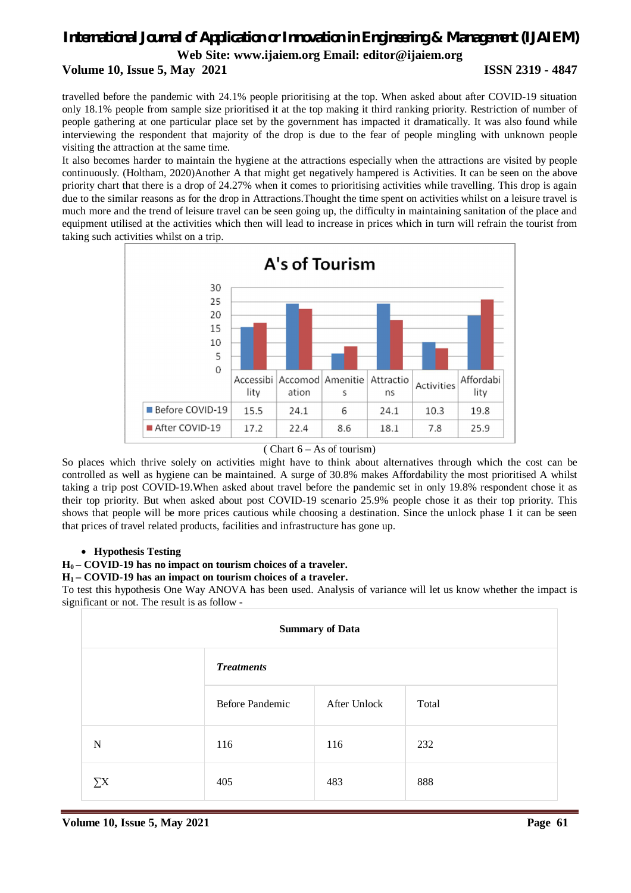## **Volume 10, Issue 5, May 2021 ISSN 2319 - 4847**

travelled before the pandemic with 24.1% people prioritising at the top. When asked about after COVID-19 situation only 18.1% people from sample size prioritised it at the top making it third ranking priority. Restriction of number of people gathering at one particular place set by the government has impacted it dramatically. It was also found while interviewing the respondent that majority of the drop is due to the fear of people mingling with unknown people visiting the attraction at the same time.

It also becomes harder to maintain the hygiene at the attractions especially when the attractions are visited by people continuously. (Holtham, 2020)Another A that might get negatively hampered is Activities. It can be seen on the above priority chart that there is a drop of 24.27% when it comes to prioritising activities while travelling. This drop is again due to the similar reasons as for the drop in Attractions.Thought the time spent on activities whilst on a leisure travel is much more and the trend of leisure travel can be seen going up, the difficulty in maintaining sanitation of the place and equipment utilised at the activities which then will lead to increase in prices which in turn will refrain the tourist from taking such activities whilst on a trip.



( Chart 6 – As of tourism)

So places which thrive solely on activities might have to think about alternatives through which the cost can be controlled as well as hygiene can be maintained. A surge of 30.8% makes Affordability the most prioritised A whilst taking a trip post COVID-19.When asked about travel before the pandemic set in only 19.8% respondent chose it as their top priority. But when asked about post COVID-19 scenario 25.9% people chose it as their top priority. This shows that people will be more prices cautious while choosing a destination. Since the unlock phase 1 it can be seen that prices of travel related products, facilities and infrastructure has gone up.

## **Hypothesis Testing**

## **H0 – COVID-19 has no impact on tourism choices of a traveler.**

### **H1 – COVID-19 has an impact on tourism choices of a traveler.**

To test this hypothesis One Way ANOVA has been used. Analysis of variance will let us know whether the impact is significant or not. The result is as follow -

| <b>Summary of Data</b> |                        |              |       |  |  |
|------------------------|------------------------|--------------|-------|--|--|
|                        | <b>Treatments</b>      |              |       |  |  |
|                        | <b>Before Pandemic</b> | After Unlock | Total |  |  |
| N                      | 116                    | 116          | 232   |  |  |
| $\sum X$               | 405                    | 483          | 888   |  |  |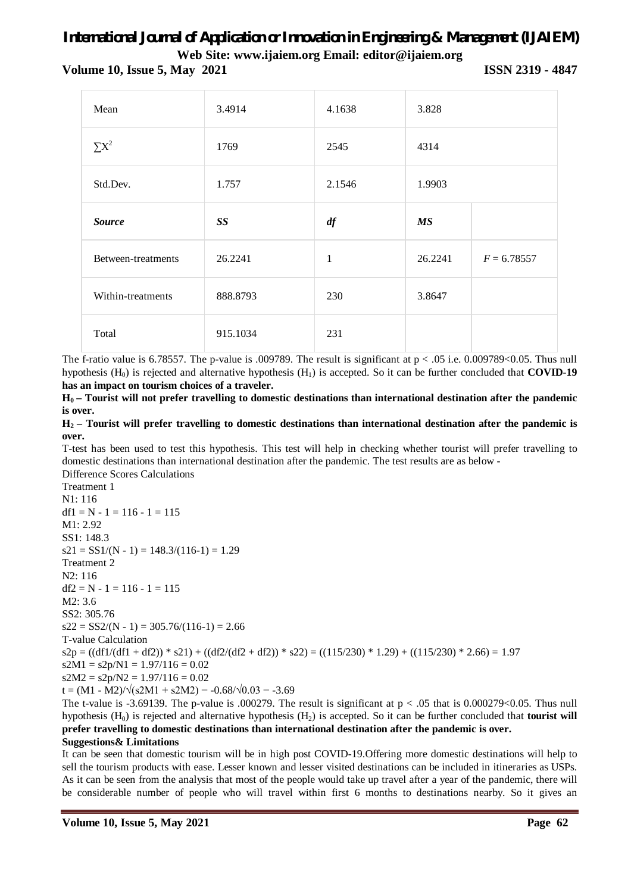**Volume 10, Issue 5, May 2021 ISSN 2319 - 4847**

| Mean               | 3.4914    | 4.1638       | 3.828     |               |
|--------------------|-----------|--------------|-----------|---------------|
| $\sum X^2$         | 1769      | 2545         | 4314      |               |
| Std.Dev.           | 1.757     | 2.1546       | 1.9903    |               |
| <b>Source</b>      | <b>SS</b> | df           | <b>MS</b> |               |
| Between-treatments | 26.2241   | $\mathbf{1}$ | 26.2241   | $F = 6.78557$ |
| Within-treatments  | 888.8793  | 230          | 3.8647    |               |
| Total              | 915.1034  | 231          |           |               |

The f-ratio value is 6.78557. The p-value is .009789. The result is significant at  $p < .05$  i.e. 0.009789<0.05. Thus null hypothesis (H0) is rejected and alternative hypothesis (H1) is accepted. So it can be further concluded that **COVID-19 has an impact on tourism choices of a traveler.**

**H0 – Tourist will not prefer travelling to domestic destinations than international destination after the pandemic is over.**

**H2 – Tourist will prefer travelling to domestic destinations than international destination after the pandemic is over.** 

T-test has been used to test this hypothesis. This test will help in checking whether tourist will prefer travelling to domestic destinations than international destination after the pandemic. The test results are as below - Difference Scores Calculations

Treatment 1 N1: 116  $df1 = N - 1 = 116 - 1 = 115$ M1: 2.92 SS1: 148.3  $s21 = SS1/(N - 1) = 148.3/(116-1) = 1.29$ Treatment 2 N2: 116  $df2 = N - 1 = 116 - 1 = 115$ M2: 3.6 SS2: 305.76  $s22 = SS2/(N - 1) = 305.76/(116-1) = 2.66$ T-value Calculation  $s2p = ((df1/(df1 + df2)) * s21) + ((df2/(df2 + df2)) * s22) = ((115/230) * 1.29) + ((115/230) * 2.66) = 1.97$  $s2M1 = s2p/N1 = 1.97/116 = 0.02$  $s2M2 = s2p/N2 = 1.97/116 = 0.02$ t =  $(M1 - M2)/\sqrt{(s2M1 + s2M2)} = -0.68/\sqrt{0.03} = -3.69$ 

The t-value is -3.69139. The p-value is .000279. The result is significant at  $p < .05$  that is 0.000279<0.05. Thus null hypothesis (H0) is rejected and alternative hypothesis (H2) is accepted. So it can be further concluded that **tourist will prefer travelling to domestic destinations than international destination after the pandemic is over.**

## **Suggestions& Limitations**

It can be seen that domestic tourism will be in high post COVID-19.Offering more domestic destinations will help to sell the tourism products with ease. Lesser known and lesser visited destinations can be included in itineraries as USPs. As it can be seen from the analysis that most of the people would take up travel after a year of the pandemic, there will be considerable number of people who will travel within first 6 months to destinations nearby. So it gives an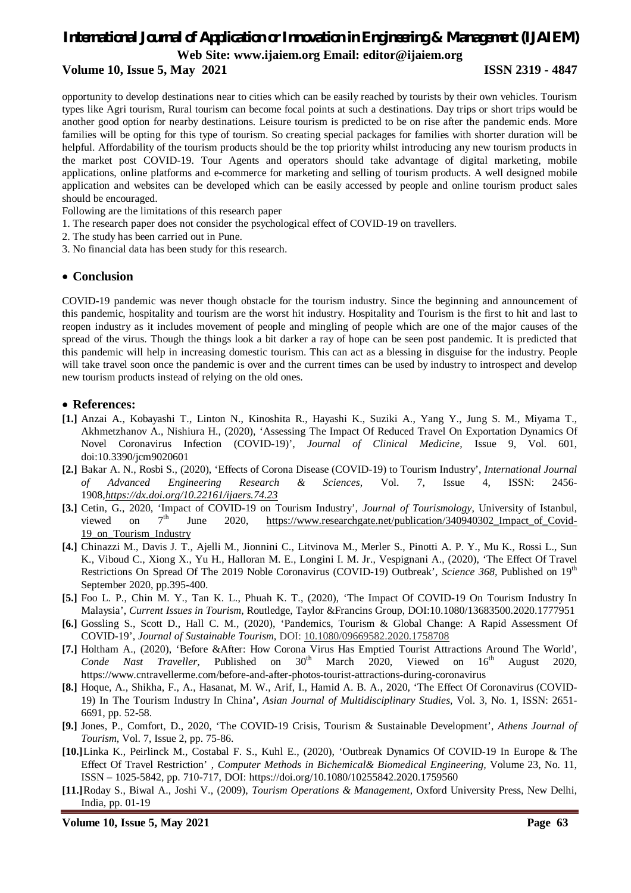# *International Journal of Application or Innovation in Engineering & Management (IJAIEM)*

**Web Site: www.ijaiem.org Email: editor@ijaiem.org**

## **Volume 10, Issue 5, May 2021 ISSN 2319 - 4847**

opportunity to develop destinations near to cities which can be easily reached by tourists by their own vehicles. Tourism types like Agri tourism, Rural tourism can become focal points at such a destinations. Day trips or short trips would be another good option for nearby destinations. Leisure tourism is predicted to be on rise after the pandemic ends. More families will be opting for this type of tourism. So creating special packages for families with shorter duration will be helpful. Affordability of the tourism products should be the top priority whilst introducing any new tourism products in the market post COVID-19. Tour Agents and operators should take advantage of digital marketing, mobile applications, online platforms and e-commerce for marketing and selling of tourism products. A well designed mobile application and websites can be developed which can be easily accessed by people and online tourism product sales should be encouraged.

- Following are the limitations of this research paper
- 1. The research paper does not consider the psychological effect of COVID-19 on travellers.
- 2. The study has been carried out in Pune.
- 3. No financial data has been study for this research.

## **Conclusion**

COVID-19 pandemic was never though obstacle for the tourism industry. Since the beginning and announcement of this pandemic, hospitality and tourism are the worst hit industry. Hospitality and Tourism is the first to hit and last to reopen industry as it includes movement of people and mingling of people which are one of the major causes of the spread of the virus. Though the things look a bit darker a ray of hope can be seen post pandemic. It is predicted that this pandemic will help in increasing domestic tourism. This can act as a blessing in disguise for the industry. People will take travel soon once the pandemic is over and the current times can be used by industry to introspect and develop new tourism products instead of relying on the old ones.

## **References:**

- **[1.]** Anzai A., Kobayashi T., Linton N., Kinoshita R., Hayashi K., Suziki A., Yang Y., Jung S. M., Miyama T., Akhmetzhanov A., Nishiura H., (2020), 'Assessing The Impact Of Reduced Travel On Exportation Dynamics Of Novel Coronavirus Infection (COVID-19)', *Journal of Clinical Medicine,* Issue 9, Vol. 601, doi:10.3390/jcm9020601
- **[2.]** Bakar A. N., Rosbi S., (2020), 'Effects of Corona Disease (COVID-19) to Tourism Industry', *International Journal of Advanced Engineering Research & Sciences,* Vol. 7, Issue 4, ISSN: 2456- 1908,*https://dx.doi.org/10.22161/ijaers.74.23*
- **[3.]** Cetin, G., 2020, 'Impact of COVID-19 on Tourism Industry', *Journal of Tourismology,* University of Istanbul, viewed on  $7<sup>th</sup>$  June 2020, https://www.researchgate.net/publication/340940302\_Impact\_of\_Covid-19\_on\_Tourism\_Industry
- **[4.]** Chinazzi M., Davis J. T., Ajelli M., Jionnini C., Litvinova M., Merler S., Pinotti A. P. Y., Mu K., Rossi L., Sun K., Viboud C., Xiong X., Yu H., Halloran M. E., Longini I. M. Jr., Vespignani A., (2020), 'The Effect Of Travel Restrictions On Spread Of The 2019 Noble Coronavirus (COVID-19) Outbreak', *Science 368,* Published on 19th September 2020, pp.395-400.
- **[5.]** Foo L. P., Chin M. Y., Tan K. L., Phuah K. T., (2020), 'The Impact Of COVID-19 On Tourism Industry In Malaysia', *Current Issues in Tourism,* Routledge, Taylor &Francins Group, DOI:10.1080/13683500.2020.1777951
- **[6.]** Gossling S., Scott D., Hall C. M., (2020), 'Pandemics, Tourism & Global Change: A Rapid Assessment Of COVID-19', *Journal of Sustainable Tourism,* DOI: 10.1080/09669582.2020.1758708
- **[7.]** Holtham A., (2020), 'Before &After: How Corona Virus Has Emptied Tourist Attractions Around The World', *Conde Nast Traveller,* Published on  $30<sup>th</sup>$  March 2020, Viewed on  $16<sup>th</sup>$  August 2020, https://www.cntravellerme.com/before-and-after-photos-tourist-attractions-during-coronavirus
- **[8.]** Hoque, A., Shikha, F., A., Hasanat, M. W., Arif, I., Hamid A. B. A., 2020, 'The Effect Of Coronavirus (COVID-19) In The Tourism Industry In China', *Asian Journal of Multidisciplinary Studies,* Vol. 3, No. 1, ISSN: 2651- 6691, pp. 52-58.
- **[9.]** Jones, P., Comfort, D., 2020, 'The COVID-19 Crisis, Tourism & Sustainable Development', *Athens Journal of Tourism,* Vol. 7, Issue 2, pp. 75-86.
- **[10.]**Linka K., Peirlinck M., Costabal F. S., Kuhl E., (2020), 'Outbreak Dynamics Of COVID-19 In Europe & The Effect Of Travel Restriction' , *Computer Methods in Bichemical& Biomedical Engineering,* Volume 23, No. 11, ISSN – 1025-5842, pp. 710-717, DOI: https://doi.org/10.1080/10255842.2020.1759560
- **[11.]**Roday S., Biwal A., Joshi V., (2009), *Tourism Operations & Management,* Oxford University Press, New Delhi, India, pp. 01-19

**Volume 10, Issue 5, May 2021 Page 63**